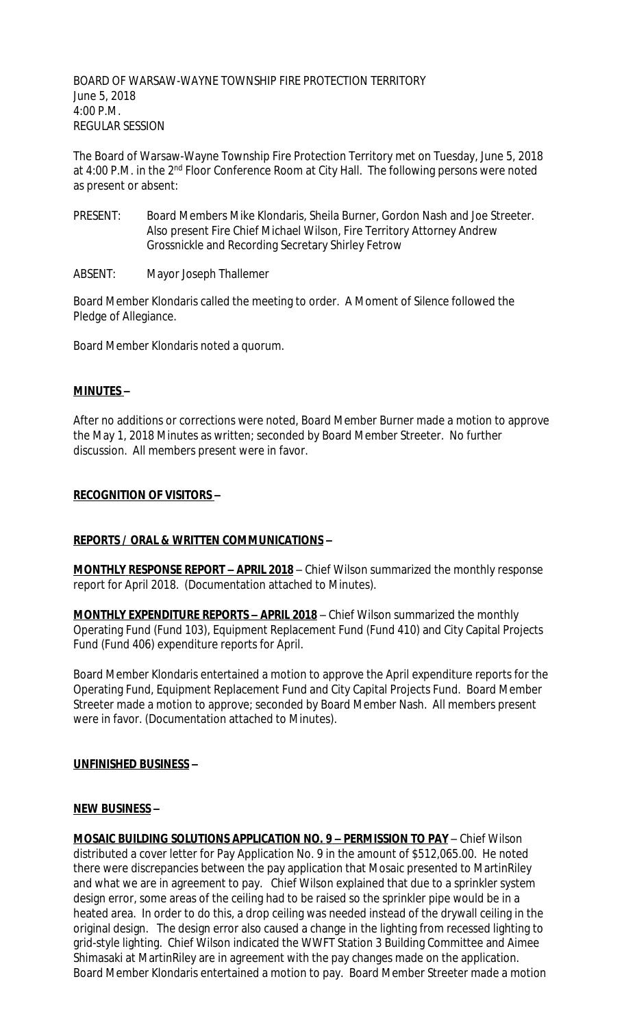BOARD OF WARSAW-WAYNE TOWNSHIP FIRE PROTECTION TERRITORY June 5, 2018 4:00 P.M. REGULAR SESSION

The Board of Warsaw-Wayne Township Fire Protection Territory met on Tuesday, June 5, 2018 at 4:00 P.M. in the 2<sup>nd</sup> Floor Conference Room at City Hall. The following persons were noted as present or absent:

- PRESENT: Board Members Mike Klondaris, Sheila Burner, Gordon Nash and Joe Streeter. Also present Fire Chief Michael Wilson, Fire Territory Attorney Andrew Grossnickle and Recording Secretary Shirley Fetrow
- ABSENT: Mayor Joseph Thallemer

Board Member Klondaris called the meeting to order. A Moment of Silence followed the Pledge of Allegiance.

Board Member Klondaris noted a quorum.

## **MINUTES –**

After no additions or corrections were noted, Board Member Burner made a motion to approve the May 1, 2018 Minutes as written; seconded by Board Member Streeter. No further discussion. All members present were in favor.

## **RECOGNITION OF VISITORS –**

# **REPORTS / ORAL & WRITTEN COMMUNICATIONS –**

**MONTHLY RESPONSE REPORT - APRIL 2018** - Chief Wilson summarized the monthly response report for April 2018. (Documentation attached to Minutes).

**MONTHLY EXPENDITURE REPORTS – APRIL 2018** – Chief Wilson summarized the monthly Operating Fund (Fund 103), Equipment Replacement Fund (Fund 410) and City Capital Projects Fund (Fund 406) expenditure reports for April.

Board Member Klondaris entertained a motion to approve the April expenditure reports for the Operating Fund, Equipment Replacement Fund and City Capital Projects Fund. Board Member Streeter made a motion to approve; seconded by Board Member Nash. All members present were in favor. (Documentation attached to Minutes).

# **UNFINISHED BUSINESS –**

#### **NEW BUSINESS –**

**MOSAIC BUILDING SOLUTIONS APPLICATION NO. 9 – PERMISSION TO PAY** – Chief Wilson distributed a cover letter for Pay Application No. 9 in the amount of \$512,065.00. He noted there were discrepancies between the pay application that Mosaic presented to MartinRiley and what we are in agreement to pay. Chief Wilson explained that due to a sprinkler system design error, some areas of the ceiling had to be raised so the sprinkler pipe would be in a heated area. In order to do this, a drop ceiling was needed instead of the drywall ceiling in the original design. The design error also caused a change in the lighting from recessed lighting to grid-style lighting. Chief Wilson indicated the WWFT Station 3 Building Committee and Aimee Shimasaki at MartinRiley are in agreement with the pay changes made on the application. Board Member Klondaris entertained a motion to pay. Board Member Streeter made a motion